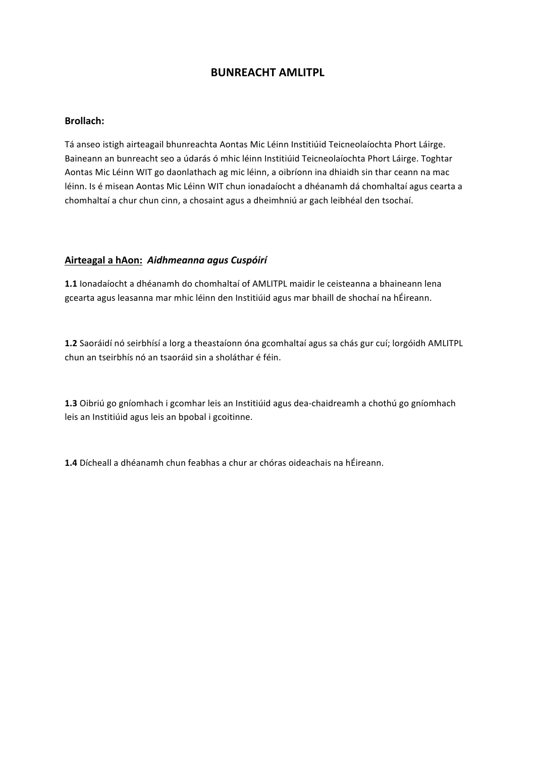# **BUNREACHT AMLITPL**

#### **Brollach:**

Tá anseo istigh airteagail bhunreachta Aontas Mic Léinn Institiúid Teicneolaíochta Phort Láirge. Baineann an bunreacht seo a údarás ó mhic léinn Institiúid Teicneolaíochta Phort Láirge. Toghtar Aontas Mic Léinn WIT go daonlathach ag mic léinn, a oibríonn ina dhiaidh sin thar ceann na mac léinn. Is é misean Aontas Mic Léinn WIT chun ionadaíocht a dhéanamh dá chomhaltaí agus cearta a chomhaltaí a chur chun cinn, a chosaint agus a dheimhniú ar gach leibhéal den tsochaí.

#### **Airteagal a hAon:** *Aidhmeanna agus Cuspóirí*

**1.1** Ionadaíocht a dhéanamh do chomhaltaí of AMLITPL maidir le ceisteanna a bhaineann lena gcearta agus leasanna mar mhic léinn den Institiúid agus mar bhaill de shochaí na hÉireann.

**1.2** Saoráidí nó seirbhísí a lorg a theastaíonn óna gcomhaltaí agus sa chás gur cuí; lorgóidh AMLITPL chun an tseirbhís nó an tsaoráid sin a sholáthar é féin.

1.3 Oibriú go gníomhach i gcomhar leis an Institiúid agus dea-chaidreamh a chothú go gníomhach leis an Institiúid agus leis an bpobal i gcoitinne.

**1.4** Dícheall a dhéanamh chun feabhas a chur ar chóras oideachais na hÉireann.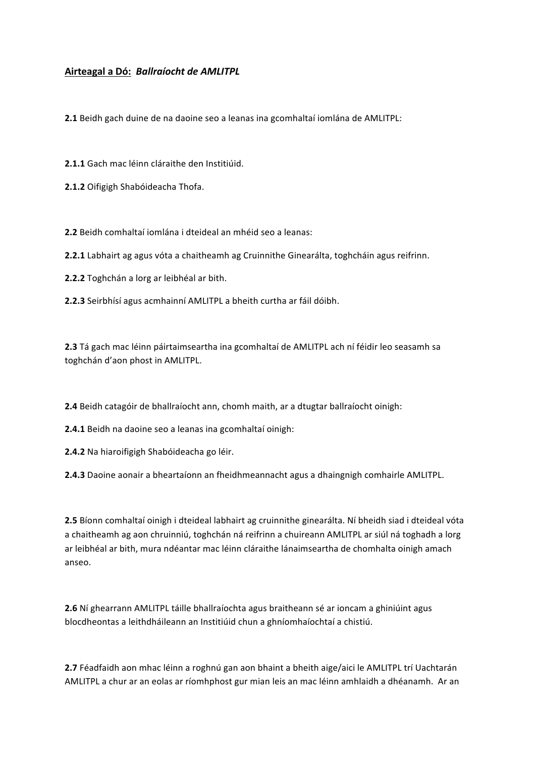### **Airteagal a Dó:** *Ballraíocht de AMLITPL*

**2.1** Beidh gach duine de na daoine seo a leanas ina gcomhaltaí iomlána de AMLITPL:

**2.1.1** Gach mac léinn cláraithe den Institiúid.

2.1.2 Oifigigh Shabóideacha Thofa.

**2.2** Beidh comhaltaí iomlána i dteideal an mhéid seo a leanas:

**2.2.1** Labhairt ag agus vóta a chaitheamh ag Cruinnithe Ginearálta, toghcháin agus reifrinn.

**2.2.2** Toghchán a lorg ar leibhéal ar bith.

**2.2.3** Seirbhísí agus acmhainní AMLITPL a bheith curtha ar fáil dóibh.

2.3 Tá gach mac léinn páirtaimseartha ina gcomhaltaí de AMLITPL ach ní féidir leo seasamh sa toghchán d'aon phost in AMLITPL.

**2.4** Beidh catagóir de bhallraíocht ann, chomh maith, ar a dtugtar ballraíocht oinigh:

**2.4.1** Beidh na daoine seo a leanas ina gcomhaltaí oinigh:

**2.4.2** Na hiaroifigigh Shabóideacha go léir.

**2.4.3** Daoine aonair a bheartaíonn an fheidhmeannacht agus a dhaingnigh comhairle AMLITPL.

**2.5** Bíonn comhaltaí oinigh i dteideal labhairt ag cruinnithe ginearálta. Ní bheidh siad i dteideal vóta a chaitheamh ag aon chruinniú, toghchán ná reifrinn a chuireann AMLITPL ar siúl ná toghadh a lorg ar leibhéal ar bith, mura ndéantar mac léinn cláraithe lánaimseartha de chomhalta oinigh amach anseo.

**2.6** Ní ghearrann AMLITPL táille bhallraíochta agus braitheann sé ar ioncam a ghiniúint agus blocdheontas a leithdháileann an Institiúid chun a ghníomhaíochtaí a chistiú.

2.7 Féadfaidh aon mhac léinn a roghnú gan aon bhaint a bheith aige/aici le AMLITPL trí Uachtarán AMLITPL a chur ar an eolas ar ríomhphost gur mian leis an mac léinn amhlaidh a dhéanamh. Ar an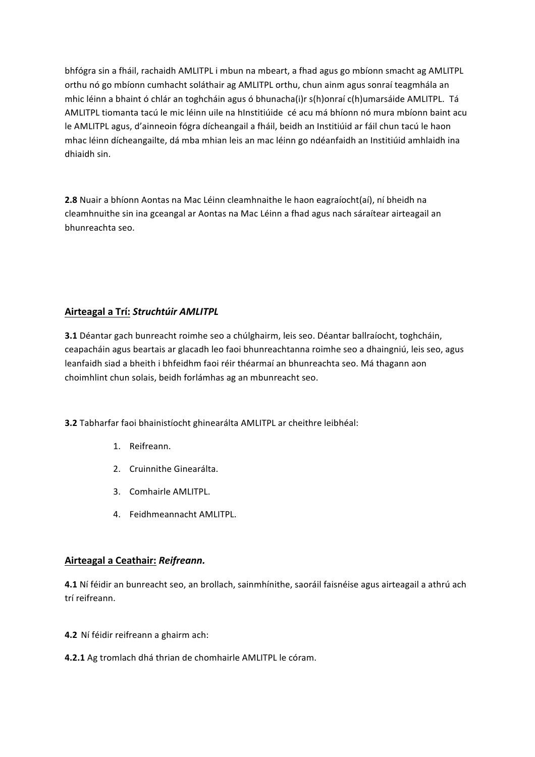bhfógra sin a fháil, rachaidh AMLITPL i mbun na mbeart, a fhad agus go mbíonn smacht ag AMLITPL orthu nó go mbíonn cumhacht soláthair ag AMLITPL orthu, chun ainm agus sonraí teagmhála an mhic léinn a bhaint ó chlár an toghcháin agus ó bhunacha(i)r s(h)onraí c(h)umarsáide AMLITPL. Tá AMLITPL tiomanta tacú le mic léinn uile na hInstitiúide cé acu má bhíonn nó mura mbíonn baint acu le AMLITPL agus, d'ainneoin fógra dícheangail a fháil, beidh an Institiúid ar fáil chun tacú le haon mhac léinn dícheangailte, dá mba mhian leis an mac léinn go ndéanfaidh an Institiúid amhlaidh ina dhiaidh sin.

**2.8** Nuair a bhíonn Aontas na Mac Léinn cleamhnaithe le haon eagraíocht(aí), ní bheidh na cleamhnuithe sin ina gceangal ar Aontas na Mac Léinn a fhad agus nach sáraítear airteagail an bhunreachta seo.

### **Airteagal a Trí:** *Struchtúir AMLITPL*

**3.1** Déantar gach bunreacht roimhe seo a chúlghairm, leis seo. Déantar ballraíocht, toghcháin, ceapacháin agus beartais ar glacadh leo faoi bhunreachtanna roimhe seo a dhaingniú, leis seo, agus leanfaidh siad a bheith i bhfeidhm faoi réir théarmaí an bhunreachta seo. Má thagann aon choimhlint chun solais, beidh forlámhas ag an mbunreacht seo.

**3.2** Tabharfar faoi bhainistíocht ghinearálta AMLITPL ar cheithre leibhéal:

- 1. Reifreann.
- 2. Cruinnithe Ginearálta.
- 3. Comhairle AMLITPL.
- 4. Feidhmeannacht AMLITPL.

### **Airteagal a Ceathair:** *Reifreann.*

**4.1** Ní féidir an bunreacht seo, an brollach, sainmhínithe, saoráil faisnéise agus airteagail a athrú ach trí reifreann.

- **4.2** Ní féidir reifreann a ghairm ach:
- **4.2.1** Ag tromlach dhá thrian de chomhairle AMLITPL le córam.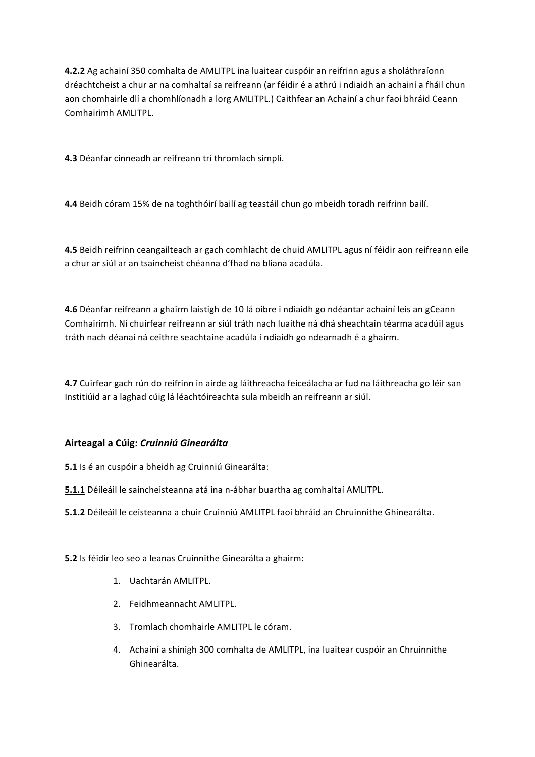**4.2.2** Ag achainí 350 comhalta de AMLITPL ina luaitear cuspóir an reifrinn agus a sholáthraíonn dréachtcheist a chur ar na comhaltaí sa reifreann (ar féidir é a athrú i ndiaidh an achainí a fháil chun aon chomhairle dlí a chomhlíonadh a lorg AMLITPL.) Caithfear an Achainí a chur faoi bhráid Ceann Comhairimh AMLITPL.

**4.3** Déanfar cinneadh ar reifreann trí thromlach simplí.

4.4 Beidh córam 15% de na toghthóirí bailí ag teastáil chun go mbeidh toradh reifrinn bailí.

**4.5** Beidh reifrinn ceangailteach ar gach comhlacht de chuid AMLITPL agus ní féidir aon reifreann eile a chur ar siúl ar an tsaincheist chéanna d'fhad na bliana acadúla.

**4.6** Déanfar reifreann a ghairm laistigh de 10 lá oibre i ndiaidh go ndéantar achainí leis an gCeann Comhairimh. Ní chuirfear reifreann ar siúl tráth nach luaithe ná dhá sheachtain téarma acadúil agus tráth nach déanaí ná ceithre seachtaine acadúla i ndiaidh go ndearnadh é a ghairm.

**4.7** Cuirfear gach rún do reifrinn in airde ag láithreacha feiceálacha ar fud na láithreacha go léir san Institiúid ar a laghad cúig lá léachtóireachta sula mbeidh an reifreann ar siúl.

# **Airteagal a Cúig:** *Cruinniú Ginearálta*

**5.1** Is é an cuspóir a bheidh ag Cruinniú Ginearálta:

**5.1.1** Déileáil le saincheisteanna atá ina n-ábhar buartha ag comhaltaí AMLITPL.

**5.1.2** Déileáil le ceisteanna a chuir Cruinniú AMLITPL faoi bhráid an Chruinnithe Ghinearálta.

**5.2** Is féidir leo seo a leanas Cruinnithe Ginearálta a ghairm:

- 1. Uachtarán AMLITPL.
- 2. Feidhmeannacht AMLITPL.
- 3. Tromlach chomhairle AMLITPL le córam.
- 4. Achainí a shínigh 300 comhalta de AMLITPL, ina luaitear cuspóir an Chruinnithe Ghinearálta.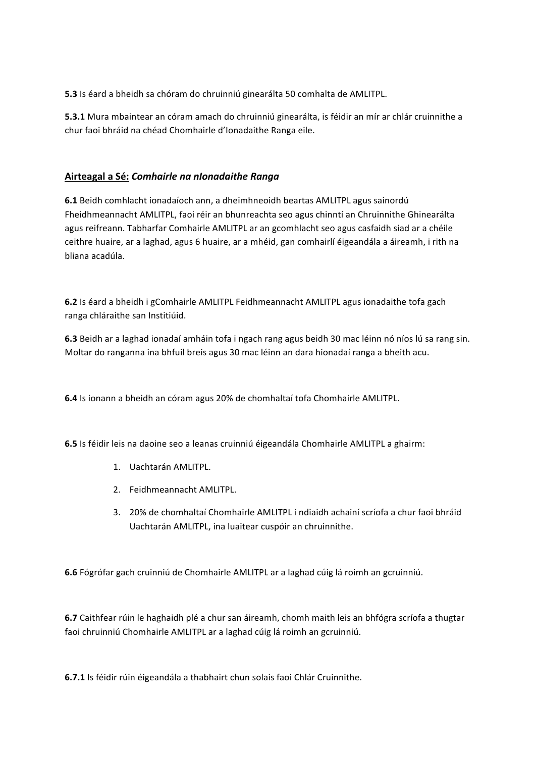**5.3** Is éard a bheidh sa chóram do chruinniú ginearálta 50 comhalta de AMLITPL.

**5.3.1** Mura mbaintear an córam amach do chruinniú ginearálta, is féidir an mír ar chlár cruinnithe a chur faoi bhráid na chéad Chomhairle d'Ionadaithe Ranga eile.

### **Airteagal a Sé:** *Comhairle na nIonadaithe Ranga*

**6.1** Beidh comhlacht ionadaíoch ann, a dheimhneoidh beartas AMLITPL agus sainordú Fheidhmeannacht AMLITPL, faoi réir an bhunreachta seo agus chinntí an Chruinnithe Ghinearálta agus reifreann. Tabharfar Comhairle AMLITPL ar an gcomhlacht seo agus casfaidh siad ar a chéile ceithre huaire, ar a laghad, agus 6 huaire, ar a mhéid, gan comhairlí éigeandála a áireamh, i rith na bliana acadúla.

6.2 Is éard a bheidh i gComhairle AMLITPL Feidhmeannacht AMLITPL agus ionadaithe tofa gach ranga chláraithe san Institiúid.

**6.3** Beidh ar a laghad ionadaí amháin tofa i ngach rang agus beidh 30 mac léinn nó níos lú sa rang sin. Moltar do ranganna ina bhfuil breis agus 30 mac léinn an dara hionadaí ranga a bheith acu.

**6.4** Is ionann a bheidh an córam agus 20% de chomhaltaí tofa Chomhairle AMLITPL.

**6.5** Is féidir leis na daoine seo a leanas cruinniú éigeandála Chomhairle AMLITPL a ghairm:

- 1. Uachtarán AMLITPL.
- 2. Feidhmeannacht AMLITPL.
- 3. 20% de chomhaltaí Chomhairle AMLITPL i ndiaidh achainí scríofa a chur faoi bhráid Uachtarán AMLITPL, ina luaitear cuspóir an chruinnithe.

**6.6** Fógrófar gach cruinniú de Chomhairle AMLITPL ar a laghad cúig lá roimh an gcruinniú.

**6.7** Caithfear rúin le haghaidh plé a chur san áireamh, chomh maith leis an bhfógra scríofa a thugtar faoi chruinniú Chomhairle AMLITPL ar a laghad cúig lá roimh an gcruinniú.

**6.7.1** Is féidir rúin éigeandála a thabhairt chun solais faoi Chlár Cruinnithe.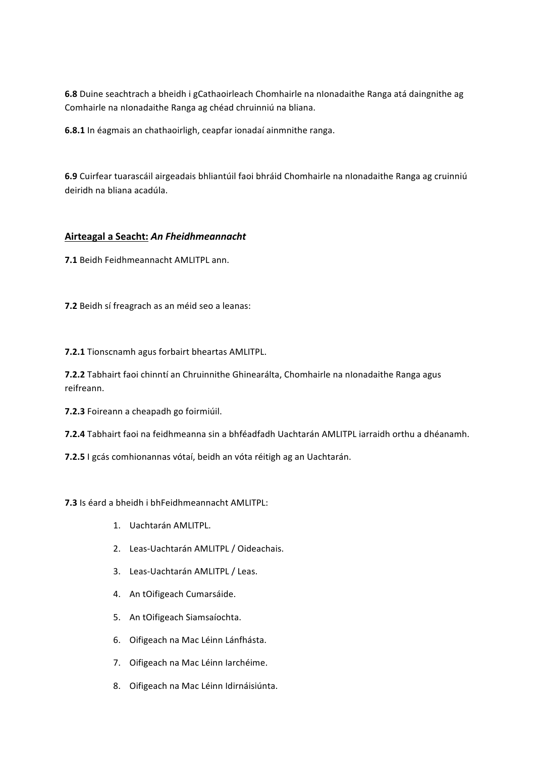**6.8** Duine seachtrach a bheidh i gCathaoirleach Chomhairle na nIonadaithe Ranga atá daingnithe ag Comhairle na nIonadaithe Ranga ag chéad chruinniú na bliana.

**6.8.1** In éagmais an chathaoirligh, ceapfar ionadaí ainmnithe ranga.

**6.9** Cuirfear tuarascáil airgeadais bhliantúil faoi bhráid Chomhairle na nIonadaithe Ranga ag cruinniú deiridh na bliana acadúla.

### **Airteagal a Seacht:** *An Fheidhmeannacht*

**7.1** Beidh Feidhmeannacht AMLITPL ann.

**7.2** Beidh sí freagrach as an méid seo a leanas:

**7.2.1** Tionscnamh agus forbairt bheartas AMLITPL.

**7.2.2** Tabhairt faoi chinntí an Chruinnithe Ghinearálta, Chomhairle na nIonadaithe Ranga agus reifreann.

**7.2.3** Foireann a cheapadh go foirmiúil.

**7.2.4** Tabhairt faoi na feidhmeanna sin a bhféadfadh Uachtarán AMLITPL iarraidh orthu a dhéanamh.

**7.2.5** I gcás comhionannas vótaí, beidh an vóta réitigh ag an Uachtarán.

**7.3** Is éard a bheidh i bhFeidhmeannacht AMLITPL:

- 1. Uachtarán AMLITPL.
- 2. Leas-Uachtarán AMLITPL / Oideachais.
- 3. Leas-Uachtarán AMLITPL / Leas.
- 4. An tOifigeach Cumarsáide.
- 5. An tOifigeach Siamsaíochta.
- 6. Oifigeach na Mac Léinn Lánfhásta.
- 7. Oifigeach na Mac Léinn Iarchéime.
- 8. Oifigeach na Mac Léinn Idirnáisiúnta.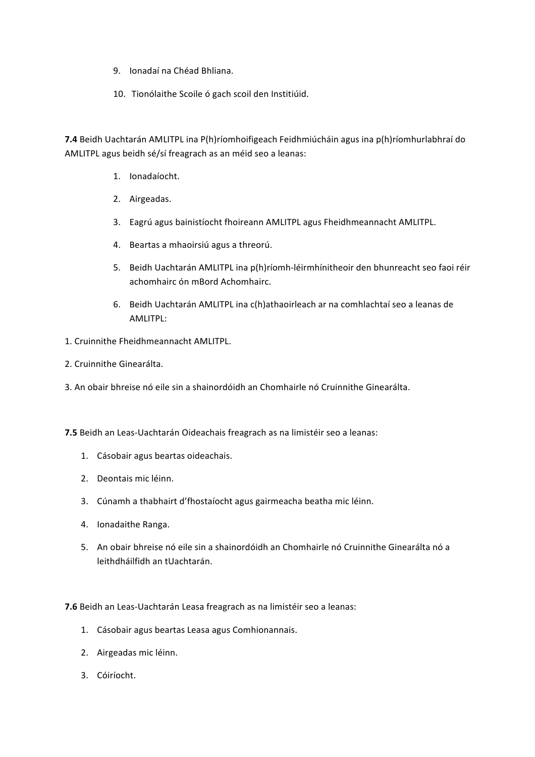- 9. Ionadaí na Chéad Bhliana.
- 10. Tionólaithe Scoile ó gach scoil den Institiúid.

**7.4** Beidh Uachtarán AMLITPL ina P(h)ríomhoifigeach Feidhmiúcháin agus ina p(h)ríomhurlabhraí do AMLITPL agus beidh sé/sí freagrach as an méid seo a leanas:

- 1. Ionadaíocht.
- 2. Airgeadas.
- 3. Eagrú agus bainistíocht fhoireann AMLITPL agus Fheidhmeannacht AMLITPL.
- 4. Beartas a mhaoirsiú agus a threorú.
- 5. Beidh Uachtarán AMLITPL ina p(h)ríomh-léirmhínitheoir den bhunreacht seo faoi réir achomhairc ón mBord Achomhairc.
- 6. Beidh Uachtarán AMLITPL ina c(h)athaoirleach ar na comhlachtaí seo a leanas de AMLITPL:
- 1. Cruinnithe Fheidhmeannacht AMLITPL.
- 2. Cruinnithe Ginearálta.
- 3. An obair bhreise nó eile sin a shainordóidh an Chomhairle nó Cruinnithe Ginearálta.
- **7.5** Beidh an Leas-Uachtarán Oideachais freagrach as na limistéir seo a leanas:
	- 1. Cásobair agus beartas oideachais.
	- 2. Deontais mic léinn.
	- 3. Cúnamh a thabhairt d'fhostaíocht agus gairmeacha beatha mic léinn.
	- 4. Ionadaithe Ranga.
	- 5. An obair bhreise nó eile sin a shainordóidh an Chomhairle nó Cruinnithe Ginearálta nó a leithdháilfidh an tUachtarán.

**7.6** Beidh an Leas-Uachtarán Leasa freagrach as na limistéir seo a leanas:

- 1. Cásobair agus beartas Leasa agus Comhionannais.
- 2. Airgeadas mic léinn.
- 3. Cóiríocht.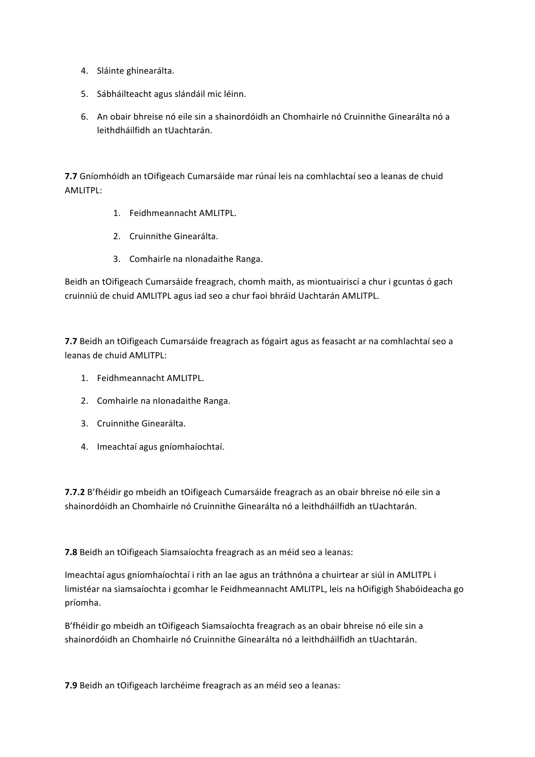- 4. Sláinte ghinearálta.
- 5. Sábháilteacht agus slándáil mic léinn.
- 6. An obair bhreise nó eile sin a shainordóidh an Chomhairle nó Cruinnithe Ginearálta nó a leithdháilfidh an tUachtarán.

**7.7** Gníomhóidh an tOifigeach Cumarsáide mar rúnaí leis na comhlachtaí seo a leanas de chuid AMLITPL:

- 1. Feidhmeannacht AMLITPL.
- 2. Cruinnithe Ginearálta.
- 3. Comhairle na nIonadaithe Ranga.

Beidh an tOifigeach Cumarsáide freagrach, chomh maith, as miontuairiscí a chur i gcuntas ó gach cruinniú de chuid AMLITPL agus iad seo a chur faoi bhráid Uachtarán AMLITPL.

**7.7** Beidh an tOifigeach Cumarsáide freagrach as fógairt agus as feasacht ar na comhlachtaí seo a leanas de chuid AMLITPL:

- 1. Feidhmeannacht AMLITPL.
- 2. Comhairle na nIonadaithe Ranga.
- 3. Cruinnithe Ginearálta.
- 4. Imeachtaí agus gníomhaíochtaí.

**7.7.2** B'fhéidir go mbeidh an tOifigeach Cumarsáide freagrach as an obair bhreise nó eile sin a shainordóidh an Chomhairle nó Cruinnithe Ginearálta nó a leithdháilfidh an tUachtarán.

**7.8** Beidh an tOifigeach Siamsaíochta freagrach as an méid seo a leanas:

Imeachtaí agus gníomhaíochtaí i rith an lae agus an tráthnóna a chuirtear ar siúl in AMLITPL i limistéar na siamsaíochta i gcomhar le Feidhmeannacht AMLITPL, leis na hOifigigh Shabóideacha go príomha.

B'fhéidir go mbeidh an tOifigeach Siamsaíochta freagrach as an obair bhreise nó eile sin a shainordóidh an Chomhairle nó Cruinnithe Ginearálta nó a leithdháilfidh an tUachtarán.

**7.9** Beidh an tOifigeach Iarchéime freagrach as an méid seo a leanas: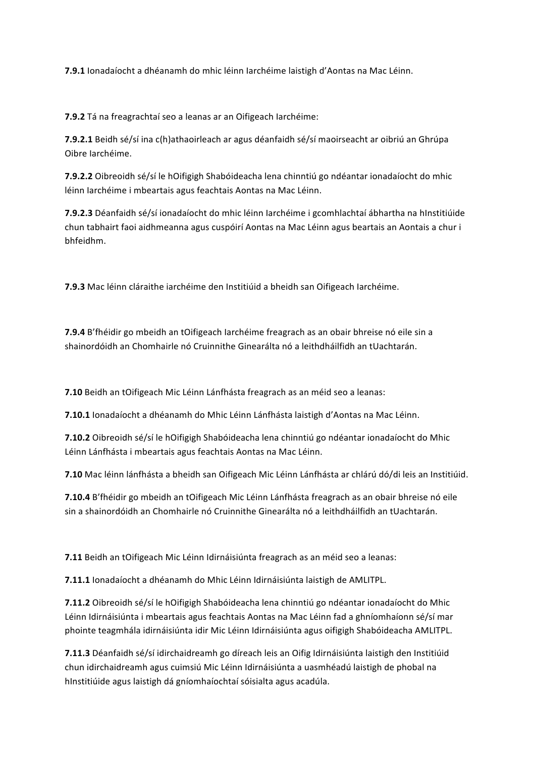**7.9.1** Ionadaíocht a dhéanamh do mhic léinn Iarchéime laistigh d'Aontas na Mac Léinn.

**7.9.2** Tá na freagrachtaí seo a leanas ar an Oifigeach Iarchéime:

**7.9.2.1** Beidh sé/sí ina c(h)athaoirleach ar agus déanfaidh sé/sí maoirseacht ar oibriú an Ghrúpa Oibre Iarchéime.

**7.9.2.2** Oibreoidh sé/sí le hOifigigh Shabóideacha lena chinntiú go ndéantar ionadaíocht do mhic léinn Iarchéime i mbeartais agus feachtais Aontas na Mac Léinn.

**7.9.2.3** Déanfaidh sé/sí ionadaíocht do mhic léinn Iarchéime i gcomhlachtaí ábhartha na hInstitiúide chun tabhairt faoi aidhmeanna agus cuspóirí Aontas na Mac Léinn agus beartais an Aontais a chur i bhfeidhm.

**7.9.3** Mac léinn cláraithe iarchéime den Institiúid a bheidh san Oifigeach Iarchéime.

**7.9.4** B'fhéidir go mbeidh an tOifigeach Iarchéime freagrach as an obair bhreise nó eile sin a shainordóidh an Chomhairle nó Cruinnithe Ginearálta nó a leithdháilfidh an tUachtarán.

**7.10** Beidh an tOifigeach Mic Léinn Lánfhásta freagrach as an méid seo a leanas:

**7.10.1** Ionadaíocht a dhéanamh do Mhic Léinn Lánfhásta laistigh d'Aontas na Mac Léinn.

**7.10.2** Oibreoidh sé/sí le hOifigigh Shabóideacha lena chinntiú go ndéantar ionadaíocht do Mhic Léinn Lánfhásta i mbeartais agus feachtais Aontas na Mac Léinn.

**7.10** Mac léinn lánfhásta a bheidh san Oifigeach Mic Léinn Lánfhásta ar chlárú dó/di leis an Institiúid.

**7.10.4** B'fhéidir go mbeidh an tOifigeach Mic Léinn Lánfhásta freagrach as an obair bhreise nó eile sin a shainordóidh an Chomhairle nó Cruinnithe Ginearálta nó a leithdháilfidh an tUachtarán.

**7.11** Beidh an tOifigeach Mic Léinn Idirnáisiúnta freagrach as an méid seo a leanas:

**7.11.1** Ionadaíocht a dhéanamh do Mhic Léinn Idirnáisiúnta laistigh de AMLITPL.

**7.11.2** Oibreoidh sé/sí le hOifigigh Shabóideacha lena chinntiú go ndéantar ionadaíocht do Mhic Léinn Idirnáisiúnta i mbeartais agus feachtais Aontas na Mac Léinn fad a ghníomhaíonn sé/sí mar phointe teagmhála idirnáisiúnta idir Mic Léinn Idirnáisiúnta agus oifigigh Shabóideacha AMLITPL.

**7.11.3** Déanfaidh sé/sí idirchaidreamh go díreach leis an Oifig Idirnáisiúnta laistigh den Institiúid chun idirchaidreamh agus cuimsiú Mic Léinn Idirnáisiúnta a uasmhéadú laistigh de phobal na hInstitiúide agus laistigh dá gníomhaíochtaí sóisialta agus acadúla.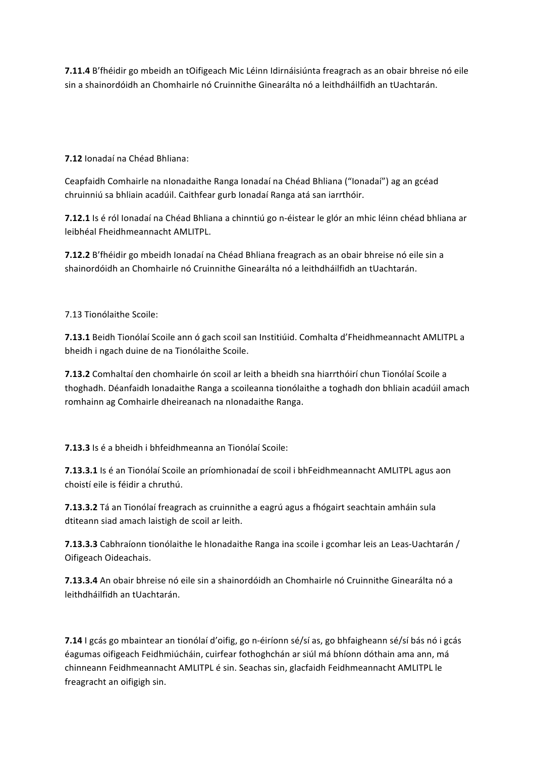**7.11.4** B'fhéidir go mbeidh an tOifigeach Mic Léinn Idirnáisiúnta freagrach as an obair bhreise nó eile sin a shainordóidh an Chomhairle nó Cruinnithe Ginearálta nó a leithdháilfidh an tUachtarán.

**7.12** Ionadaí na Chéad Bhliana:

Ceapfaidh Comhairle na nIonadaithe Ranga Ionadaí na Chéad Bhliana ("Ionadaí") ag an gcéad chruinniú sa bhliain acadúil. Caithfear gurb Ionadaí Ranga atá san iarrthóir.

**7.12.1** Is é ról Ionadaí na Chéad Bhliana a chinntiú go n-éistear le glór an mhic léinn chéad bhliana ar leibhéal Fheidhmeannacht AMLITPL.

**7.12.2** B'fhéidir go mbeidh Ionadaí na Chéad Bhliana freagrach as an obair bhreise nó eile sin a shainordóidh an Chomhairle nó Cruinnithe Ginearálta nó a leithdháilfidh an tUachtarán.

7.13 Tionólaithe Scoile:

**7.13.1** Beidh Tionólaí Scoile ann ó gach scoil san Institiúid. Comhalta d'Fheidhmeannacht AMLITPL a bheidh i ngach duine de na Tionólaithe Scoile.

**7.13.2** Comhaltaí den chomhairle ón scoil ar leith a bheidh sna hiarrthóirí chun Tionólaí Scoile a thoghadh. Déanfaidh Ionadaithe Ranga a scoileanna tionólaithe a toghadh don bhliain acadúil amach romhainn ag Comhairle dheireanach na nIonadaithe Ranga.

**7.13.3** Is é a bheidh i bhfeidhmeanna an Tionólaí Scoile:

**7.13.3.1** Is é an Tionólaí Scoile an príomhionadaí de scoil i bhFeidhmeannacht AMLITPL agus aon choistí eile is féidir a chruthú.

**7.13.3.2** Tá an Tionólaí freagrach as cruinnithe a eagrú agus a fhógairt seachtain amháin sula dtiteann siad amach laistigh de scoil ar leith.

**7.13.3.3** Cabhraíonn tionólaithe le hIonadaithe Ranga ina scoile i gcomhar leis an Leas-Uachtarán / Oifigeach Oideachais.

**7.13.3.4** An obair bhreise nó eile sin a shainordóidh an Chomhairle nó Cruinnithe Ginearálta nó a leithdháilfidh an tUachtarán.

**7.14** I gcás go mbaintear an tionólaí d'oifig, go n-éiríonn sé/sí as, go bhfaigheann sé/sí bás nó i gcás éagumas oifigeach Feidhmiúcháin, cuirfear fothoghchán ar siúl má bhíonn dóthain ama ann, má chinneann Feidhmeannacht AMLITPL é sin. Seachas sin, glacfaidh Feidhmeannacht AMLITPL le freagracht an oifigigh sin.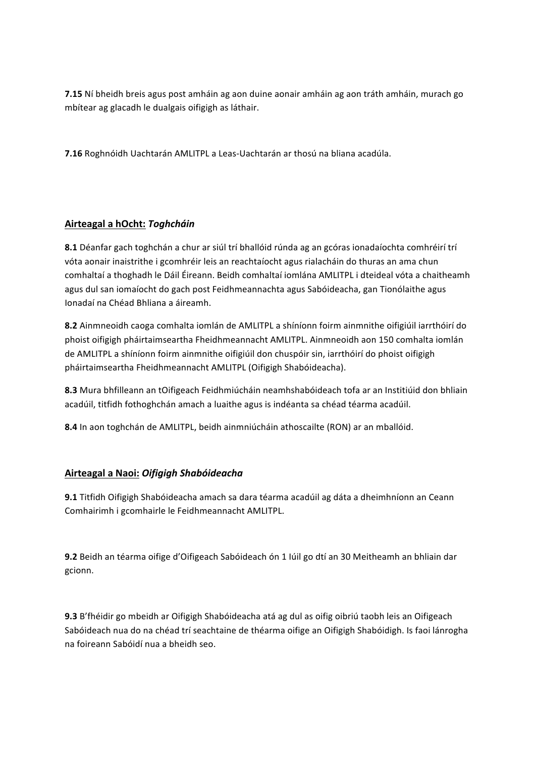**7.15** Ní bheidh breis agus post amháin ag aon duine aonair amháin ag aon tráth amháin, murach go mbítear ag glacadh le dualgais oifigigh as láthair.

**7.16** Roghnóidh Uachtarán AMLITPL a Leas-Uachtarán ar thosú na bliana acadúla.

### **Airteagal a hOcht:** *Toghcháin*

8.1 Déanfar gach toghchán a chur ar siúl trí bhallóid rúnda ag an gcóras ionadaíochta comhréirí trí vóta aonair inaistrithe i gcomhréir leis an reachtaíocht agus rialacháin do thuras an ama chun comhaltaí a thoghadh le Dáil Éireann. Beidh comhaltaí iomlána AMLITPL i dteideal vóta a chaitheamh agus dul san iomaíocht do gach post Feidhmeannachta agus Sabóideacha, gan Tionólaithe agus Ionadaí na Chéad Bhliana a áireamh.

8.2 Ainmneoidh caoga comhalta iomlán de AMLITPL a shíníonn foirm ainmnithe oifigiúil iarrthóirí do phoist oifigigh pháirtaimseartha Fheidhmeannacht AMLITPL. Ainmneoidh aon 150 comhalta iomlán de AMLITPL a shíníonn foirm ainmnithe oifigiúil don chuspóir sin, iarrthóirí do phoist oifigigh pháirtaimseartha Fheidhmeannacht AMLITPL (Oifigigh Shabóideacha).

**8.3** Mura bhfilleann an tOifigeach Feidhmiúcháin neamhshabóideach tofa ar an Institiúid don bhliain acadúil, titfidh fothoghchán amach a luaithe agus is indéanta sa chéad téarma acadúil.

**8.4** In aon toghchán de AMLITPL, beidh ainmniúcháin athoscailte (RON) ar an mballóid.

# **Airteagal a Naoi:** *Oifigigh Shabóideacha*

**9.1** Titfidh Oifigigh Shabóideacha amach sa dara téarma acadúil ag dáta a dheimhníonn an Ceann Comhairimh i gcomhairle le Feidhmeannacht AMLITPL.

**9.2** Beidh an téarma oifige d'Oifigeach Sabóideach ón 1 Iúil go dtí an 30 Meitheamh an bhliain dar gcionn.

**9.3** B'fhéidir go mbeidh ar Oifigigh Shabóideacha atá ag dul as oifig oibriú taobh leis an Oifigeach Sabóideach nua do na chéad trí seachtaine de théarma oifige an Oifigigh Shabóidigh. Is faoi lánrogha na foireann Sabóidí nua a bheidh seo.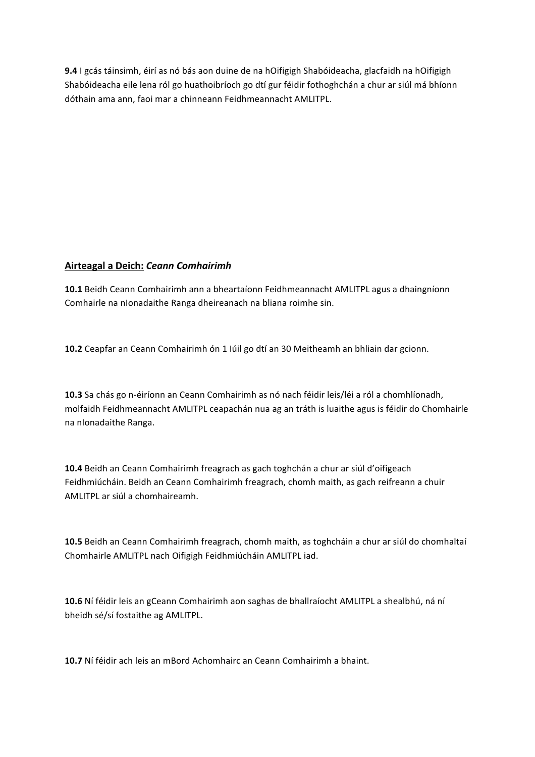**9.4** I gcás táinsimh, éirí as nó bás aon duine de na hOifigigh Shabóideacha, glacfaidh na hOifigigh Shabóideacha eile lena ról go huathoibríoch go dtí gur féidir fothoghchán a chur ar siúl má bhíonn dóthain ama ann, faoi mar a chinneann Feidhmeannacht AMLITPL.

### **Airteagal a Deich: Ceann Comhairimh**

10.1 Beidh Ceann Comhairimh ann a bheartaíonn Feidhmeannacht AMLITPL agus a dhaingníonn Comhairle na nIonadaithe Ranga dheireanach na bliana roimhe sin.

10.2 Ceapfar an Ceann Comhairimh ón 1 Iúil go dtí an 30 Meitheamh an bhliain dar gcionn.

**10.3** Sa chás go n-éiríonn an Ceann Comhairimh as nó nach féidir leis/léi a ról a chomhlíonadh, molfaidh Feidhmeannacht AMLITPL ceapachán nua ag an tráth is luaithe agus is féidir do Chomhairle na nIonadaithe Ranga.

10.4 Beidh an Ceann Comhairimh freagrach as gach toghchán a chur ar siúl d'oifigeach Feidhmiúcháin. Beidh an Ceann Comhairimh freagrach, chomh maith, as gach reifreann a chuir AMLITPL ar siúl a chomhaireamh.

**10.5** Beidh an Ceann Comhairimh freagrach, chomh maith, as toghcháin a chur ar siúl do chomhaltaí Chomhairle AMLITPL nach Oifigigh Feidhmiúcháin AMLITPL iad.

10.6 Ní féidir leis an gCeann Comhairimh aon saghas de bhallraíocht AMLITPL a shealbhú, ná ní bheidh sé/sí fostaithe ag AMLITPL.

**10.7** Ní féidir ach leis an mBord Achomhairc an Ceann Comhairimh a bhaint.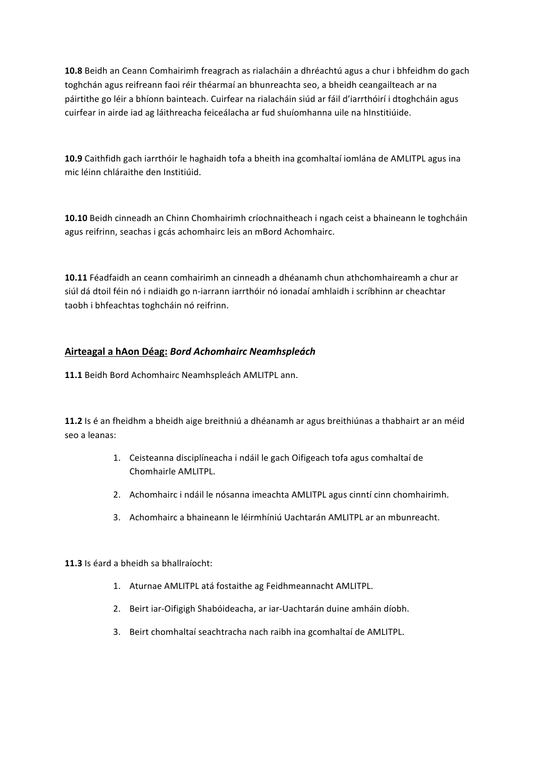**10.8** Beidh an Ceann Comhairimh freagrach as rialacháin a dhréachtú agus a chur i bhfeidhm do gach toghchán agus reifreann faoi réir théarmaí an bhunreachta seo, a bheidh ceangailteach ar na páirtithe go léir a bhíonn bainteach. Cuirfear na rialacháin siúd ar fáil d'iarrthóirí i dtoghcháin agus cuirfear in airde iad ag láithreacha feiceálacha ar fud shuíomhanna uile na hInstitiúide.

**10.9** Caithfidh gach iarrthóir le haghaidh tofa a bheith ina gcomhaltaí iomlána de AMLITPL agus ina mic léinn chláraithe den Institiúid.

**10.10** Beidh cinneadh an Chinn Chomhairimh críochnaitheach i ngach ceist a bhaineann le toghcháin agus reifrinn, seachas i gcás achomhairc leis an mBord Achomhairc.

**10.11** Féadfaidh an ceann comhairimh an cinneadh a dhéanamh chun athchomhaireamh a chur ar siúl dá dtoil féin nó i ndiaidh go n-iarrann iarrthóir nó ionadaí amhlaidh i scríbhinn ar cheachtar taobh i bhfeachtas toghcháin nó reifrinn.

### **Airteagal a hAon Déag:** *Bord Achomhairc Neamhspleách*

11.1 Beidh Bord Achomhairc Neamhspleách AMLITPL ann.

**11.2** Is é an fheidhm a bheidh aige breithniú a dhéanamh ar agus breithiúnas a thabhairt ar an méid seo a leanas:

- 1. Ceisteanna disciplíneacha i ndáil le gach Oifigeach tofa agus comhaltaí de Chomhairle AMLITPL.
- 2. Achomhairc i ndáil le nósanna imeachta AMLITPL agus cinntí cinn chomhairimh.
- 3. Achomhairc a bhaineann le léirmhíniú Uachtarán AMLITPL ar an mbunreacht.

**11.3** Is éard a bheidh sa bhallraíocht:

- 1. Aturnae AMLITPL atá fostaithe ag Feidhmeannacht AMLITPL.
- 2. Beirt iar-Oifigigh Shabóideacha, ar iar-Uachtarán duine amháin díobh.
- 3. Beirt chomhaltaí seachtracha nach raibh ina gcomhaltaí de AMLITPL.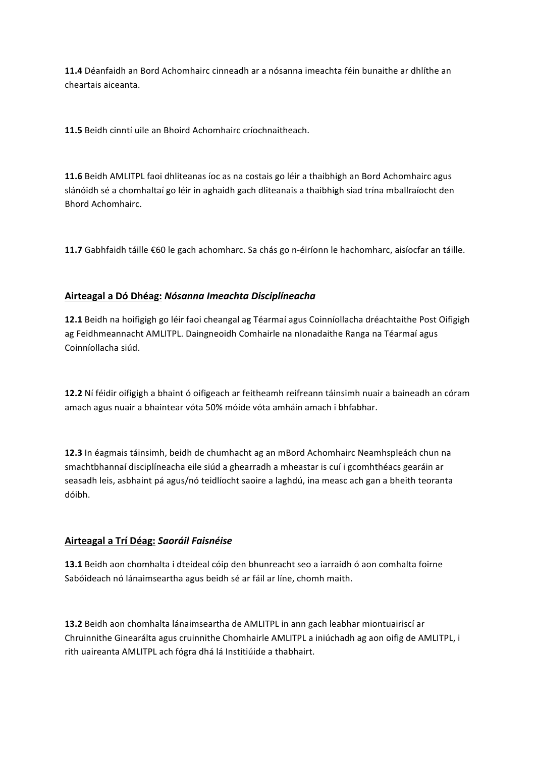**11.4** Déanfaidh an Bord Achomhairc cinneadh ar a nósanna imeachta féin bunaithe ar dhlíthe an cheartais aiceanta.

**11.5** Beidh cinntí uile an Bhoird Achomhairc críochnaitheach.

**11.6** Beidh AMLITPL faoi dhliteanas íoc as na costais go léir a thaibhigh an Bord Achomhairc agus slánóidh sé a chomhaltaí go léir in aghaidh gach dliteanais a thaibhigh siad trína mballraíocht den Bhord Achomhairc.

**11.7** Gabhfaidh táille €60 le gach achomharc. Sa chás go n-éiríonn le hachomharc, aisíocfar an táille.

# **Airteagal a Dó Dhéag:** *Nósanna Imeachta Disciplíneacha*

**12.1** Beidh na hoifigigh go léir faoi cheangal ag Téarmaí agus Coinníollacha dréachtaithe Post Oifigigh ag Feidhmeannacht AMLITPL. Daingneoidh Comhairle na nIonadaithe Ranga na Téarmaí agus Coinníollacha siúd.

**12.2** Ní féidir oifigigh a bhaint ó oifigeach ar feitheamh reifreann táinsimh nuair a baineadh an córam amach agus nuair a bhaintear vóta 50% móide vóta amháin amach i bhfabhar.

**12.3** In éagmais táinsimh, beidh de chumhacht ag an mBord Achomhairc Neamhspleách chun na smachtbhannaí disciplíneacha eile siúd a ghearradh a mheastar is cuí i gcomhthéacs gearáin ar seasadh leis, asbhaint pá agus/nó teidlíocht saoire a laghdú, ina measc ach gan a bheith teoranta dóibh.

### **Airteagal a Trí Déag:** *Saoráil Faisnéise*

**13.1** Beidh aon chomhalta i dteideal cóip den bhunreacht seo a iarraidh ó aon comhalta foirne Sabóideach nó lánaimseartha agus beidh sé ar fáil ar líne, chomh maith.

13.2 Beidh aon chomhalta lánaimseartha de AMLITPL in ann gach leabhar miontuairiscí ar Chruinnithe Ginearálta agus cruinnithe Chomhairle AMLITPL a iniúchadh ag aon oifig de AMLITPL, i rith uaireanta AMLITPL ach fógra dhá lá Institiúide a thabhairt.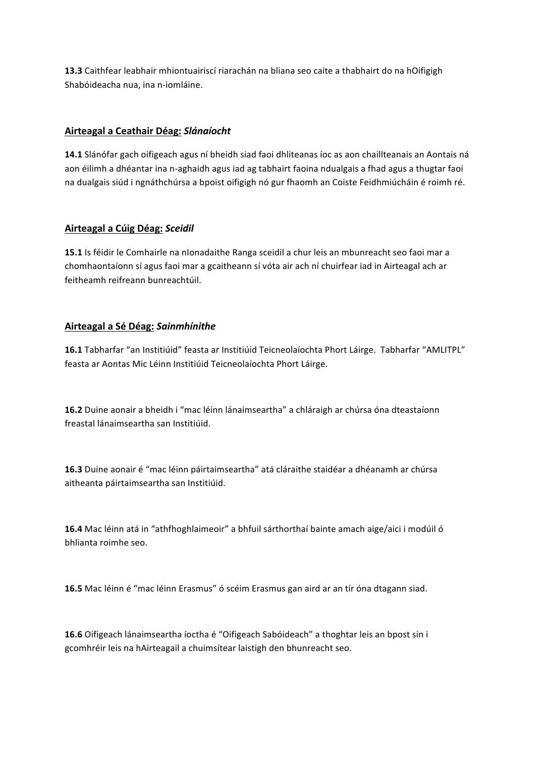**13.3** Caithfear leabhair mhiontuairiscí riarachán na bliana seo caite a thabhairt do na hOifigigh Shabóideacha nua, ina n-iomláine.

### **Airteagal a Ceathair Déag:** *Slánaíocht*

14.1 Slánófar gach oifigeach agus ní bheidh siad faoi dhliteanas íoc as aon chaillteanais an Aontais ná aon éilimh a dhéantar ina n-aghaidh agus iad ag tabhairt faoina ndualgais a fhad agus a thugtar faoi na dualgais siúd i ngnáthchúrsa a bpoist oifigigh nó gur fhaomh an Coiste Feidhmiúcháin é roimh ré.

#### **Airteagal a Cúig Déag:** *Sceidil*

**15.1** Is féidir le Comhairle na nIonadaithe Ranga sceidil a chur leis an mbunreacht seo faoi mar a chomhaontaíonn sí agus faoi mar a gcaitheann sí vóta air ach ní chuirfear iad in Airteagal ach ar feitheamh reifreann bunreachtúil.

### **Airteagal a Sé Déag:** *Sainmhínithe*

16.1 Tabharfar "an Institiúid" feasta ar Institiúid Teicneolaíochta Phort Láirge. Tabharfar "AMLITPL" feasta ar Aontas Mic Léinn Institiúid Teicneolaíochta Phort Láirge.

**16.2** Duine aonair a bheidh i "mac léinn lánaimseartha" a chláraigh ar chúrsa óna dteastaíonn freastal lánaimseartha san Institiúid.

**16.3** Duine aonair é "mac léinn páirtaimseartha" atá cláraithe staidéar a dhéanamh ar chúrsa aitheanta páirtaimseartha san Institiúid.

**16.4** Mac léinn atá in "athfhoghlaimeoir" a bhfuil sárthorthaí bainte amach aige/aici i modúil ó bhlianta roimhe seo.

16.5 Mac léinn é "mac léinn Erasmus" ó scéim Erasmus gan aird ar an tír óna dtagann siad.

**16.6** Oifigeach lánaimseartha íoctha é "Oifigeach Sabóideach" a thoghtar leis an bpost sin i gcomhréir leis na hAirteagail a chuimsítear laistigh den bhunreacht seo.